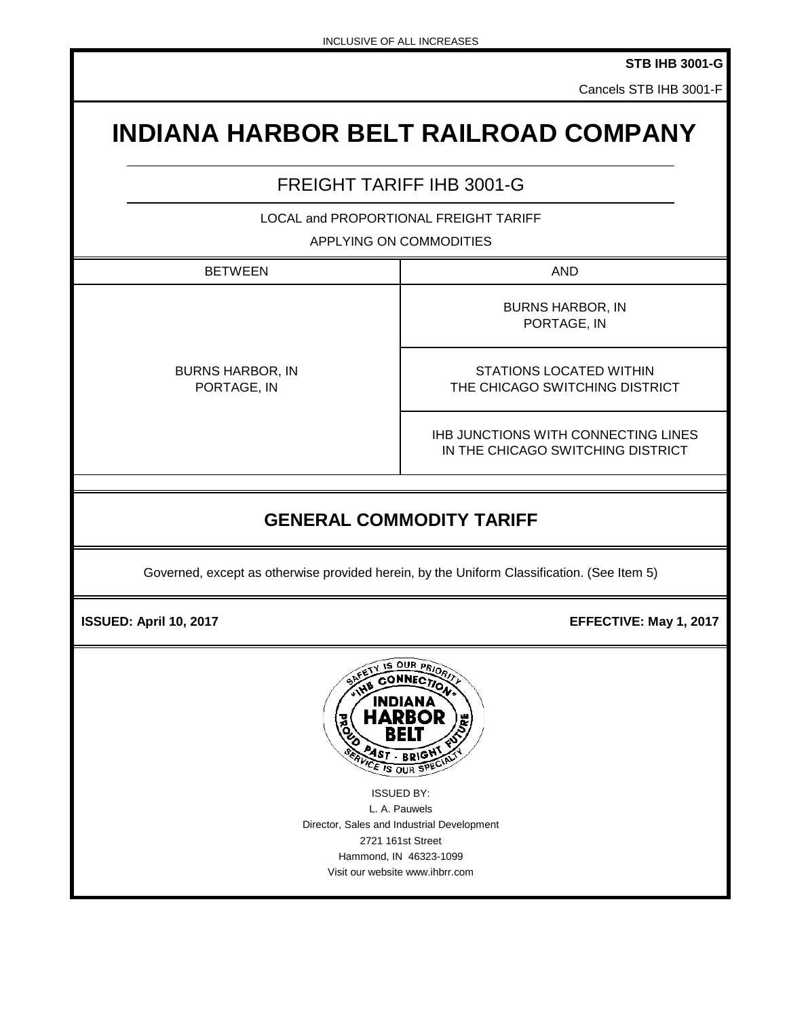**STB IHB 3001-G**

Cancels STB IHB 3001-F

# **INDIANA HARBOR BELT RAILROAD COMPANY**

## FREIGHT TARIFF IHB 3001-G

LOCAL and PROPORTIONAL FREIGHT TARIFF

#### APPLYING ON COMMODITIES

BETWEEN NOTE: NOTE: NOTE: NOTE: NOTE: NOTE: NOTE: NOTE: NOTE: NOTE: NOTE: NOTE: NOTE: NOTE: NOTE: NO **GENERAL COMMODITY TARIFF** Governed, except as otherwise provided herein, by the Uniform Classification. (See Item 5) BURNS HARBOR, IN PORTAGE, IN PORTAGE, IN BURNS HARBOR, IN STATIONS LOCATED WITHIN THE CHICAGO SWITCHING DISTRICT IHB JUNCTIONS WITH CONNECTING LINES IN THE CHICAGO SWITCHING DISTRICT

 **ISSUED: April 10, 2017 EFFECTIVE: May 1, 2017** 



ISSUED BY: L. A. Pauwels Director, Sales and Industrial Development 2721 161st Street Hammond, IN 46323-1099 Visit our website www.ihbrr.com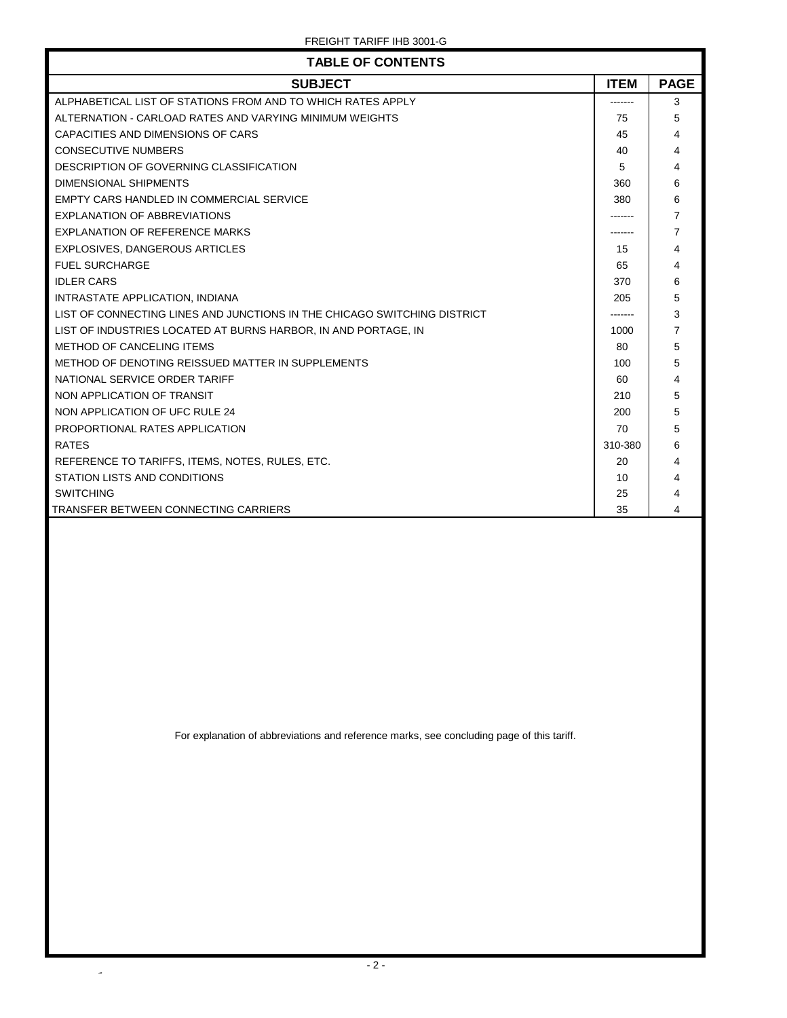| <b>TABLE OF CONTENTS</b>                                                 |             |                |
|--------------------------------------------------------------------------|-------------|----------------|
| <b>SUBJECT</b>                                                           | <b>ITEM</b> | <b>PAGE</b>    |
| ALPHABETICAL LIST OF STATIONS FROM AND TO WHICH RATES APPLY              |             | 3              |
| ALTERNATION - CARLOAD RATES AND VARYING MINIMUM WEIGHTS                  | 75          | 5              |
| CAPACITIES AND DIMENSIONS OF CARS                                        | 45          | 4              |
| <b>CONSECUTIVE NUMBERS</b>                                               | 40          | 4              |
| DESCRIPTION OF GOVERNING CLASSIFICATION                                  | 5           | 4              |
| <b>DIMENSIONAL SHIPMENTS</b>                                             | 360         | 6              |
| EMPTY CARS HANDLED IN COMMERCIAL SERVICE                                 | 380         | 6              |
| <b>EXPLANATION OF ABBREVIATIONS</b>                                      |             | $\overline{7}$ |
| <b>EXPLANATION OF REFERENCE MARKS</b>                                    |             | 7              |
| EXPLOSIVES, DANGEROUS ARTICLES                                           | 15          | 4              |
| <b>FUEL SURCHARGE</b>                                                    | 65          | 4              |
| <b>IDLER CARS</b>                                                        | 370         | 6              |
| INTRASTATE APPLICATION, INDIANA                                          | 205         | 5              |
| LIST OF CONNECTING LINES AND JUNCTIONS IN THE CHICAGO SWITCHING DISTRICT |             | 3              |
| LIST OF INDUSTRIES LOCATED AT BURNS HARBOR, IN AND PORTAGE, IN           | 1000        | $\overline{7}$ |
| METHOD OF CANCELING ITEMS                                                | 80          | 5              |
| METHOD OF DENOTING REISSUED MATTER IN SUPPLEMENTS                        | 100         | 5              |
| NATIONAL SERVICE ORDER TARIFF                                            | 60          | 4              |
| NON APPLICATION OF TRANSIT                                               | 210         | 5              |
| NON APPLICATION OF UFC RULE 24                                           | 200         | 5              |
| PROPORTIONAL RATES APPLICATION                                           | 70          | 5              |
| <b>RATES</b>                                                             | 310-380     | 6              |
| REFERENCE TO TARIFFS, ITEMS, NOTES, RULES, ETC.                          | 20          | 4              |
| STATION LISTS AND CONDITIONS                                             | 10          | 4              |
| <b>SWITCHING</b>                                                         | 25          | 4              |
| <b>TRANSFER BETWEEN CONNECTING CARRIERS</b>                              | 35          | 4              |

For explanation of abbreviations and reference marks, see concluding page of this tariff.

 $\overline{\phantom{a}}$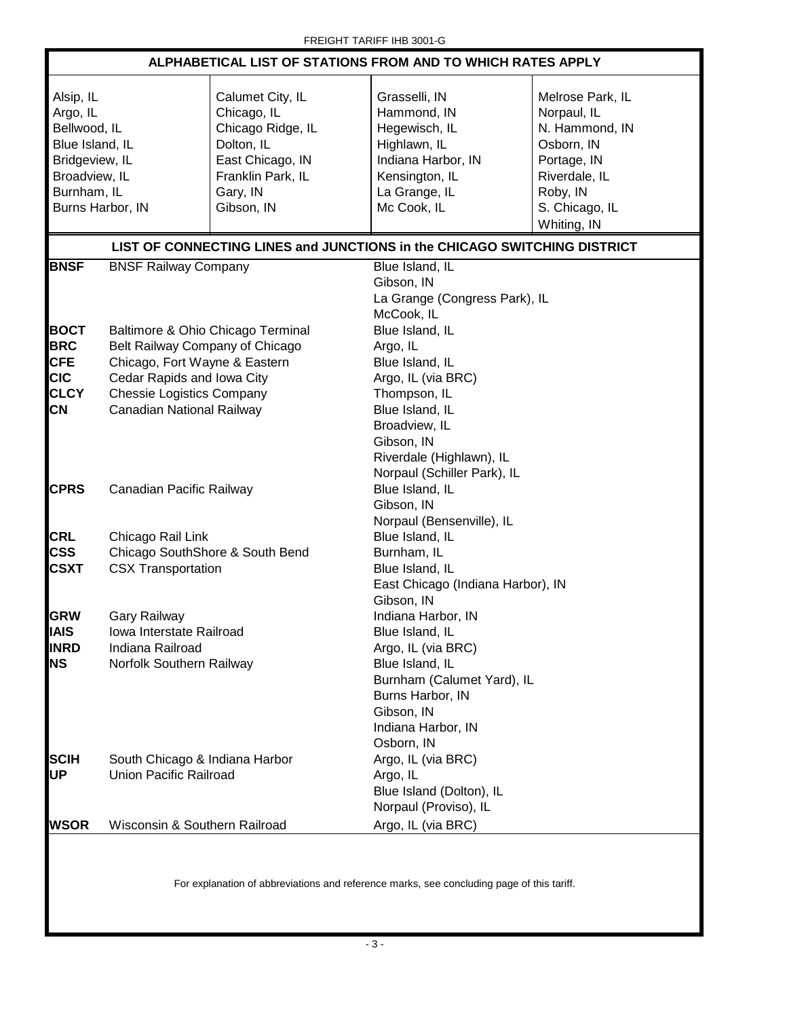| ALPHABETICAL LIST OF STATIONS FROM AND TO WHICH RATES APPLY                                                                    |                                                                                                                                                                                                      |                                                                                                                                       |                                                                                                                                                                                                   |                                                                                                                                              |  |
|--------------------------------------------------------------------------------------------------------------------------------|------------------------------------------------------------------------------------------------------------------------------------------------------------------------------------------------------|---------------------------------------------------------------------------------------------------------------------------------------|---------------------------------------------------------------------------------------------------------------------------------------------------------------------------------------------------|----------------------------------------------------------------------------------------------------------------------------------------------|--|
| Alsip, IL<br>Argo, IL<br>Bellwood, IL<br>Blue Island, IL<br>Bridgeview, IL<br>Broadview, IL<br>Burnham, IL<br>Burns Harbor, IN |                                                                                                                                                                                                      | Calumet City, IL<br>Chicago, IL<br>Chicago Ridge, IL<br>Dolton, IL<br>East Chicago, IN<br>Franklin Park, IL<br>Gary, IN<br>Gibson, IN | Grasselli, IN<br>Hammond, IN<br>Hegewisch, IL<br>Highlawn, IL<br>Indiana Harbor, IN<br>Kensington, IL<br>La Grange, IL<br>Mc Cook, IL                                                             | Melrose Park, IL<br>Norpaul, IL<br>N. Hammond, IN<br>Osborn, IN<br>Portage, IN<br>Riverdale, IL<br>Roby, IN<br>S. Chicago, IL<br>Whiting, IN |  |
|                                                                                                                                |                                                                                                                                                                                                      |                                                                                                                                       | LIST OF CONNECTING LINES and JUNCTIONS in the CHICAGO SWITCHING DISTRICT                                                                                                                          |                                                                                                                                              |  |
| <b>BNSF</b>                                                                                                                    | <b>BNSF Railway Company</b>                                                                                                                                                                          |                                                                                                                                       | Blue Island, IL<br>Gibson, IN<br>La Grange (Congress Park), IL<br>McCook, IL                                                                                                                      |                                                                                                                                              |  |
| <b>BOCT</b><br><b>BRC</b><br><b>CFE</b><br><b>CIC</b><br><b>CLCY</b><br>CN                                                     | Baltimore & Ohio Chicago Terminal<br>Belt Railway Company of Chicago<br>Chicago, Fort Wayne & Eastern<br>Cedar Rapids and Iowa City<br><b>Chessie Logistics Company</b><br>Canadian National Railway |                                                                                                                                       | Blue Island, IL<br>Argo, IL<br>Blue Island, IL<br>Argo, IL (via BRC)<br>Thompson, IL<br>Blue Island, IL<br>Broadview, IL<br>Gibson, IN<br>Riverdale (Highlawn), IL<br>Norpaul (Schiller Park), IL |                                                                                                                                              |  |
| <b>CPRS</b>                                                                                                                    | Canadian Pacific Railway                                                                                                                                                                             |                                                                                                                                       | Blue Island, IL<br>Gibson, IN<br>Norpaul (Bensenville), IL                                                                                                                                        |                                                                                                                                              |  |
| <b>CRL</b><br><b>CSS</b><br><b>CSXT</b>                                                                                        | Chicago Rail Link<br>Chicago SouthShore & South Bend<br><b>CSX Transportation</b>                                                                                                                    |                                                                                                                                       | Blue Island, IL<br>Burnham, IL<br>Blue Island, IL<br>East Chicago (Indiana Harbor), IN<br>Gibson, IN                                                                                              |                                                                                                                                              |  |
| <b>GRW</b><br>IAIS<br><b>INRD</b><br><b>NS</b>                                                                                 | <b>Gary Railway</b><br>Iowa Interstate Railroad<br>Indiana Railroad<br>Norfolk Southern Railway                                                                                                      |                                                                                                                                       | Indiana Harbor, IN<br>Blue Island, IL<br>Argo, IL (via BRC)<br>Blue Island, IL<br>Burnham (Calumet Yard), IL<br>Burns Harbor, IN<br>Gibson, IN<br>Indiana Harbor, IN<br>Osborn, IN                |                                                                                                                                              |  |
| <b>SCIH</b><br><b>UP</b>                                                                                                       | South Chicago & Indiana Harbor<br><b>Union Pacific Railroad</b>                                                                                                                                      |                                                                                                                                       | Argo, IL (via BRC)<br>Argo, IL<br>Blue Island (Dolton), IL<br>Norpaul (Proviso), IL                                                                                                               |                                                                                                                                              |  |
| <b>WSOR</b>                                                                                                                    | Wisconsin & Southern Railroad                                                                                                                                                                        |                                                                                                                                       | Argo, IL (via BRC)                                                                                                                                                                                |                                                                                                                                              |  |
|                                                                                                                                |                                                                                                                                                                                                      |                                                                                                                                       |                                                                                                                                                                                                   |                                                                                                                                              |  |

For explanation of abbreviations and reference marks, see concluding page of this tariff.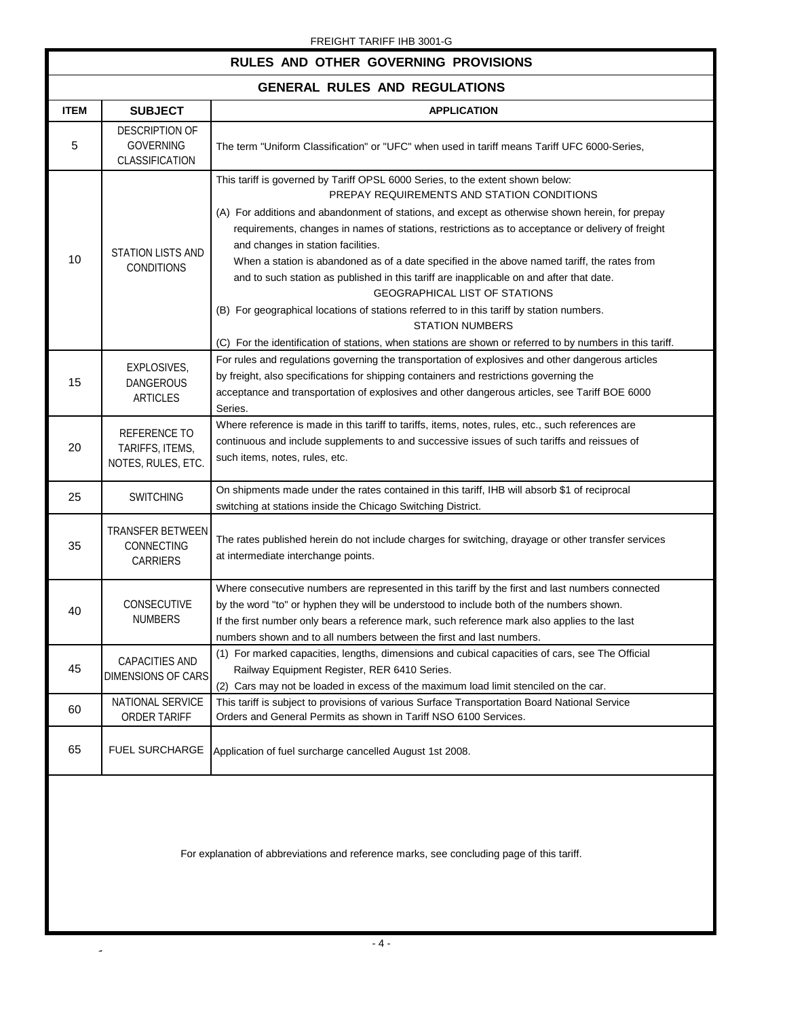#### FREIGHT TARIFF IHB 3001-G

#### **RULES AND OTHER GOVERNING PROVISIONS**

### **GENERAL RULES AND REGULATIONS**

| GENERAL RULES AND REGULATIONS |                                                             |                                                                                                                                                                                                                                                                                                                                                                                                                                                                                                                                                                                                                                                                                                                                                                                                                                            |  |
|-------------------------------|-------------------------------------------------------------|--------------------------------------------------------------------------------------------------------------------------------------------------------------------------------------------------------------------------------------------------------------------------------------------------------------------------------------------------------------------------------------------------------------------------------------------------------------------------------------------------------------------------------------------------------------------------------------------------------------------------------------------------------------------------------------------------------------------------------------------------------------------------------------------------------------------------------------------|--|
| <b>ITEM</b>                   | <b>SUBJECT</b>                                              | <b>APPLICATION</b>                                                                                                                                                                                                                                                                                                                                                                                                                                                                                                                                                                                                                                                                                                                                                                                                                         |  |
| 5                             | <b>DESCRIPTION OF</b><br><b>GOVERNING</b><br>CLASSIFICATION | The term "Uniform Classification" or "UFC" when used in tariff means Tariff UFC 6000-Series,                                                                                                                                                                                                                                                                                                                                                                                                                                                                                                                                                                                                                                                                                                                                               |  |
| 10                            | <b>STATION LISTS AND</b><br><b>CONDITIONS</b>               | This tariff is governed by Tariff OPSL 6000 Series, to the extent shown below:<br>PREPAY REQUIREMENTS AND STATION CONDITIONS<br>(A) For additions and abandonment of stations, and except as otherwise shown herein, for prepay<br>requirements, changes in names of stations, restrictions as to acceptance or delivery of freight<br>and changes in station facilities.<br>When a station is abandoned as of a date specified in the above named tariff, the rates from<br>and to such station as published in this tariff are inapplicable on and after that date.<br>GEOGRAPHICAL LIST OF STATIONS<br>(B) For geographical locations of stations referred to in this tariff by station numbers.<br><b>STATION NUMBERS</b><br>(C) For the identification of stations, when stations are shown or referred to by numbers in this tariff. |  |
| 15                            | EXPLOSIVES,<br><b>DANGEROUS</b><br>ARTICLES                 | For rules and regulations governing the transportation of explosives and other dangerous articles<br>by freight, also specifications for shipping containers and restrictions governing the<br>acceptance and transportation of explosives and other dangerous articles, see Tariff BOE 6000<br>Series.                                                                                                                                                                                                                                                                                                                                                                                                                                                                                                                                    |  |
| 20                            | REFERENCE TO<br>TARIFFS, ITEMS,<br>NOTES, RULES, ETC.       | Where reference is made in this tariff to tariffs, items, notes, rules, etc., such references are<br>continuous and include supplements to and successive issues of such tariffs and reissues of<br>such items, notes, rules, etc.                                                                                                                                                                                                                                                                                                                                                                                                                                                                                                                                                                                                         |  |
| 25                            | <b>SWITCHING</b>                                            | On shipments made under the rates contained in this tariff, IHB will absorb \$1 of reciprocal<br>switching at stations inside the Chicago Switching District.                                                                                                                                                                                                                                                                                                                                                                                                                                                                                                                                                                                                                                                                              |  |
| 35                            | <b>TRANSFER BETWEEN</b><br>CONNECTING<br>CARRIERS           | The rates published herein do not include charges for switching, drayage or other transfer services<br>at intermediate interchange points.                                                                                                                                                                                                                                                                                                                                                                                                                                                                                                                                                                                                                                                                                                 |  |
| 40                            | CONSECUTIVE<br><b>NUMBERS</b>                               | Where consecutive numbers are represented in this tariff by the first and last numbers connected<br>by the word "to" or hyphen they will be understood to include both of the numbers shown.<br>If the first number only bears a reference mark, such reference mark also applies to the last<br>numbers shown and to all numbers between the first and last numbers.                                                                                                                                                                                                                                                                                                                                                                                                                                                                      |  |
| 45                            | CAPACITIES AND<br><b>DIMENSIONS OF CARS</b>                 | (1) For marked capacities, lengths, dimensions and cubical capacities of cars, see The Official<br>Railway Equipment Register, RER 6410 Series.<br>(2) Cars may not be loaded in excess of the maximum load limit stenciled on the car.                                                                                                                                                                                                                                                                                                                                                                                                                                                                                                                                                                                                    |  |
| 60                            | NATIONAL SERVICE<br>ORDER TARIFF                            | This tariff is subject to provisions of various Surface Transportation Board National Service<br>Orders and General Permits as shown in Tariff NSO 6100 Services.                                                                                                                                                                                                                                                                                                                                                                                                                                                                                                                                                                                                                                                                          |  |
| 65                            | <b>FUEL SURCHARGE</b>                                       | Application of fuel surcharge cancelled August 1st 2008.                                                                                                                                                                                                                                                                                                                                                                                                                                                                                                                                                                                                                                                                                                                                                                                   |  |
|                               |                                                             |                                                                                                                                                                                                                                                                                                                                                                                                                                                                                                                                                                                                                                                                                                                                                                                                                                            |  |

For explanation of abbreviations and reference marks, see concluding page of this tariff.

 $\hat{\mathcal{L}}$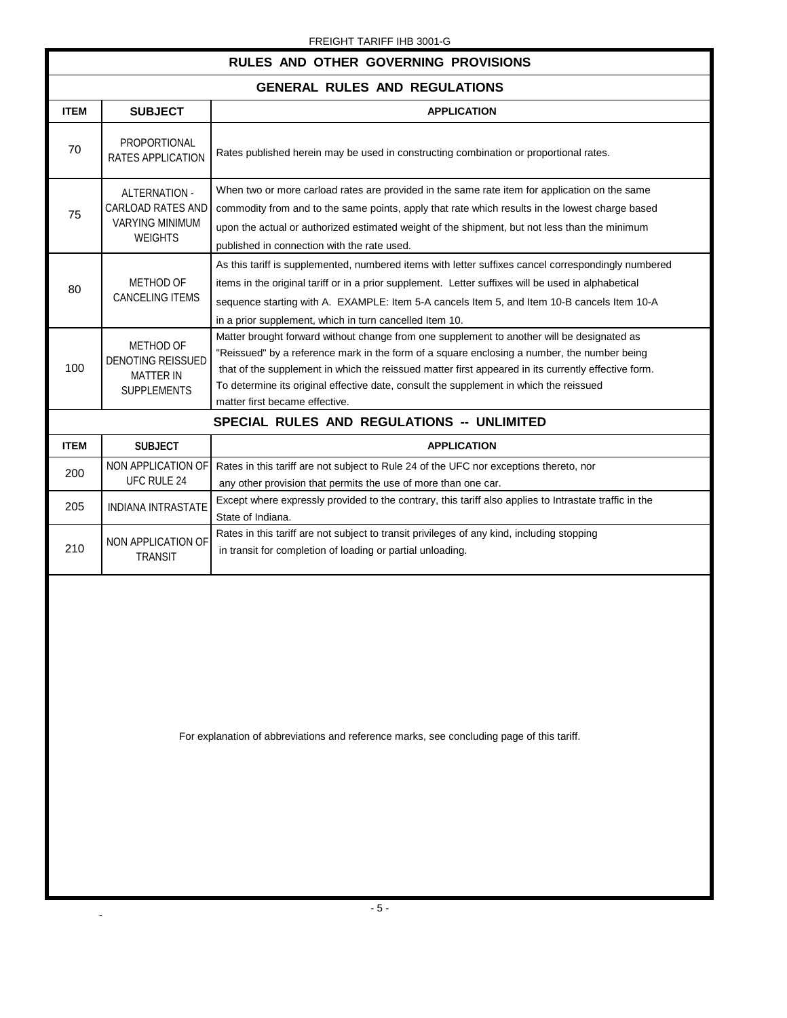#### FREIGHT TARIFF IHB 3001-G

| RULES AND OTHER GOVERNING PROVISIONS                                            |                                                                                                                                                                                                                                                                                                                                                                                                                              |  |  |
|---------------------------------------------------------------------------------|------------------------------------------------------------------------------------------------------------------------------------------------------------------------------------------------------------------------------------------------------------------------------------------------------------------------------------------------------------------------------------------------------------------------------|--|--|
| <b>GENERAL RULES AND REGULATIONS</b>                                            |                                                                                                                                                                                                                                                                                                                                                                                                                              |  |  |
| <b>SUBJECT</b>                                                                  | <b>APPLICATION</b>                                                                                                                                                                                                                                                                                                                                                                                                           |  |  |
| PROPORTIONAL<br><b>RATES APPLICATION</b>                                        | Rates published herein may be used in constructing combination or proportional rates.                                                                                                                                                                                                                                                                                                                                        |  |  |
| ALTERNATION -<br>CARLOAD RATES AND<br><b>VARYING MINIMUM</b><br><b>WEIGHTS</b>  | When two or more carload rates are provided in the same rate item for application on the same<br>commodity from and to the same points, apply that rate which results in the lowest charge based<br>upon the actual or authorized estimated weight of the shipment, but not less than the minimum<br>published in connection with the rate used.                                                                             |  |  |
| <b>METHOD OF</b><br><b>CANCELING ITEMS</b>                                      | As this tariff is supplemented, numbered items with letter suffixes cancel correspondingly numbered<br>items in the original tariff or in a prior supplement. Letter suffixes will be used in alphabetical<br>sequence starting with A. EXAMPLE: Item 5-A cancels Item 5, and Item 10-B cancels Item 10-A<br>in a prior supplement, which in turn cancelled Item 10.                                                         |  |  |
| METHOD OF<br><b>DENOTING REISSUED</b><br><b>MATTER IN</b><br><b>SUPPLEMENTS</b> | Matter brought forward without change from one supplement to another will be designated as<br>"Reissued" by a reference mark in the form of a square enclosing a number, the number being<br>that of the supplement in which the reissued matter first appeared in its currently effective form.<br>To determine its original effective date, consult the supplement in which the reissued<br>matter first became effective. |  |  |
|                                                                                 | SPECIAL RULES AND REGULATIONS -- UNLIMITED                                                                                                                                                                                                                                                                                                                                                                                   |  |  |
| <b>SUBJECT</b>                                                                  | <b>APPLICATION</b>                                                                                                                                                                                                                                                                                                                                                                                                           |  |  |
| NON APPLICATION OF<br><b>UFC RULE 24</b>                                        | Rates in this tariff are not subject to Rule 24 of the UFC nor exceptions thereto, nor<br>any other provision that permits the use of more than one car.                                                                                                                                                                                                                                                                     |  |  |
| <b>INDIANA INTRASTATE</b>                                                       | Except where expressly provided to the contrary, this tariff also applies to Intrastate traffic in the<br>State of Indiana.                                                                                                                                                                                                                                                                                                  |  |  |
| NON APPLICATION OF<br><b>TRANSIT</b>                                            | Rates in this tariff are not subject to transit privileges of any kind, including stopping<br>in transit for completion of loading or partial unloading.                                                                                                                                                                                                                                                                     |  |  |
|                                                                                 |                                                                                                                                                                                                                                                                                                                                                                                                                              |  |  |

For explanation of abbreviations and reference marks, see concluding page of this tariff.

- 5 -

 $\overline{\phantom{a}}$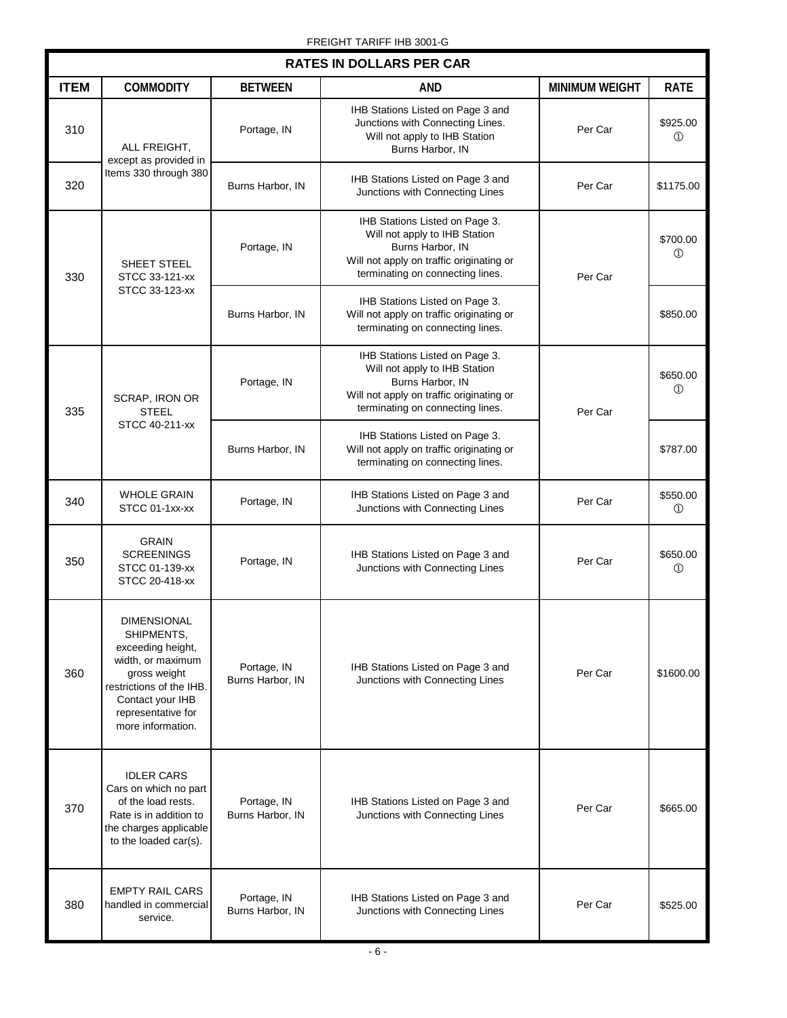| <b>RATES IN DOLLARS PER CAR</b>                        |                                                                                                                                                                                       |                                                                                                                                                                     |                                                                                                                                                                     |                            |                            |
|--------------------------------------------------------|---------------------------------------------------------------------------------------------------------------------------------------------------------------------------------------|---------------------------------------------------------------------------------------------------------------------------------------------------------------------|---------------------------------------------------------------------------------------------------------------------------------------------------------------------|----------------------------|----------------------------|
| <b>ITEM</b>                                            | <b>COMMODITY</b>                                                                                                                                                                      | <b>BETWEEN</b>                                                                                                                                                      | AND                                                                                                                                                                 | <b>MINIMUM WEIGHT</b>      | <b>RATE</b>                |
| 310                                                    | ALL FREIGHT,<br>except as provided in                                                                                                                                                 | Portage, IN                                                                                                                                                         | IHB Stations Listed on Page 3 and<br>Junctions with Connecting Lines.<br>Will not apply to IHB Station<br>Burns Harbor, IN                                          | Per Car                    | \$925.00<br>$^{\circledR}$ |
| 320                                                    | Items 330 through 380                                                                                                                                                                 | Burns Harbor, IN                                                                                                                                                    | IHB Stations Listed on Page 3 and<br>Junctions with Connecting Lines                                                                                                | Per Car                    | \$1175.00                  |
| SHEET STEEL<br>330<br>STCC 33-121-xx<br>STCC 33-123-xx | Portage, IN                                                                                                                                                                           | IHB Stations Listed on Page 3.<br>Will not apply to IHB Station<br>Burns Harbor, IN<br>Will not apply on traffic originating or<br>terminating on connecting lines. | Per Car                                                                                                                                                             | \$700.00<br>$^{\circledR}$ |                            |
|                                                        |                                                                                                                                                                                       | Burns Harbor, IN                                                                                                                                                    | IHB Stations Listed on Page 3.<br>Will not apply on traffic originating or<br>terminating on connecting lines.                                                      |                            | \$850.00                   |
| <b>STEEL</b><br>335<br>STCC 40-211-xx                  | SCRAP, IRON OR                                                                                                                                                                        | Portage, IN                                                                                                                                                         | IHB Stations Listed on Page 3.<br>Will not apply to IHB Station<br>Burns Harbor, IN<br>Will not apply on traffic originating or<br>terminating on connecting lines. | Per Car                    | \$650.00<br>$^{\circ}$     |
|                                                        |                                                                                                                                                                                       | Burns Harbor, IN                                                                                                                                                    | IHB Stations Listed on Page 3.<br>Will not apply on traffic originating or<br>terminating on connecting lines.                                                      |                            | \$787.00                   |
| 340                                                    | <b>WHOLE GRAIN</b><br>STCC 01-1xx-xx                                                                                                                                                  | Portage, IN                                                                                                                                                         | IHB Stations Listed on Page 3 and<br>Junctions with Connecting Lines                                                                                                | Per Car                    | \$550.00<br>$^{\circledR}$ |
| 350                                                    | <b>GRAIN</b><br><b>SCREENINGS</b><br>STCC 01-139-xx<br>STCC 20-418-xx                                                                                                                 | Portage, IN                                                                                                                                                         | IHB Stations Listed on Page 3 and<br>Junctions with Connecting Lines                                                                                                | Per Car                    | \$650.00<br>$\circled{1}$  |
| 360                                                    | <b>DIMENSIONAL</b><br>SHIPMENTS,<br>exceeding height,<br>width, or maximum<br>gross weight<br>restrictions of the IHB.<br>Contact your IHB<br>representative for<br>more information. | Portage, IN<br>Burns Harbor, IN                                                                                                                                     | IHB Stations Listed on Page 3 and<br>Junctions with Connecting Lines                                                                                                | Per Car                    | \$1600.00                  |
| 370                                                    | <b>IDLER CARS</b><br>Cars on which no part<br>of the load rests.<br>Rate is in addition to<br>the charges applicable<br>to the loaded car(s).                                         | Portage, IN<br>Burns Harbor, IN                                                                                                                                     | IHB Stations Listed on Page 3 and<br>Junctions with Connecting Lines                                                                                                | Per Car                    | \$665.00                   |
| 380                                                    | <b>EMPTY RAIL CARS</b><br>handled in commercial<br>service.                                                                                                                           | Portage, IN<br>Burns Harbor, IN                                                                                                                                     | IHB Stations Listed on Page 3 and<br>Junctions with Connecting Lines                                                                                                | Per Car                    | \$525.00                   |